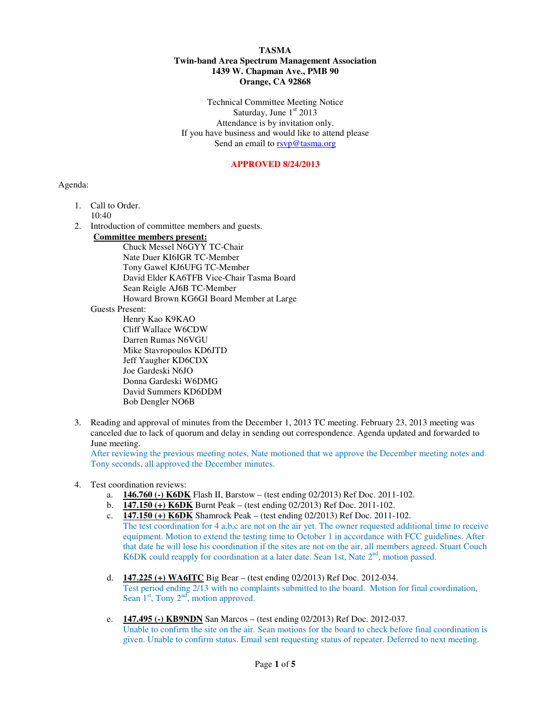#### **TASMA Twin-band Area Spectrum Management Association 1439 W. Chapman Ave., PMB 90 Orange, CA 92868**

Technical Committee Meeting Notice Saturday, June  $1<sup>st</sup> 2013$ Attendance is by invitation only. If you have business and would like to attend please Send an email to **rsvp@tasma.org** 

### **APPROVED 8/24/2013**

### Agenda:

- 1. Call to Order.
	- $10.40$
- 2. Introduction of committee members and guests.
	- **Committee members present:**

Chuck Messel N6GYY TC-Chair Nate Duer KI6IGR TC-Member Tony Gawel KJ6UFG TC-Member David Elder KA6TFB Vice-Chair Tasma Board Sean Reigle AJ6B TC-Member Howard Brown KG6GI Board Member at Large

### Guests Present:

 Henry Kao K9KAO Cliff Wallace W6CDW Darren Rumas N6VGU Mike Stavropoulos KD6JTD Jeff Yaugher KD6CDX Joe Gardeski N6JO Donna Gardeski W6DMG David Summers KD6DDM Bob Dengler NO6B

3. Reading and approval of minutes from the December 1, 2013 TC meeting. February 23, 2013 meeting was canceled due to lack of quorum and delay in sending out correspondence. Agenda updated and forwarded to June meeting.

After reviewing the previous meeting notes, Nate motioned that we approve the December meeting notes and Tony seconds, all approved the December minutes.

# 4. Test coordination reviews:

- a. **146.760 (-) K6DK** Flash II, Barstow (test ending 02/2013) Ref Doc. 2011-102.
- b. **147.150 (+) K6DK** Burnt Peak (test ending 02/2013) Ref Doc. 2011-102.
- c. **147.150 (+) K6DK** Shamrock Peak (test ending 02/2013) Ref Doc. 2011-102. The test coordination for 4 a,b,c are not on the air yet. The owner requested additional time to receive equipment. Motion to extend the testing time to October 1 in accordance with FCC guidelines. After that date he will lose his coordination if the sites are not on the air, all members agreed. Stuart Couch K6DK could reapply for coordination at a later date. Sean 1st, Nate  $2<sup>nd</sup>$ , motion passed.
- d. **147.225 (+) WA6ITC** Big Bear (test ending 02/2013) Ref Doc. 2012-034. Test period ending 2/13 with no complaints submitted to the board. Motion for final coordination, Sean  $1<sup>st</sup>$ , Tony  $2<sup>nd</sup>$ , motion approved.
- e. **147.495 (-) KB9NDN** San Marcos (test ending 02/2013) Ref Doc. 2012-037. Unable to confirm the site on the air. Sean motions for the board to check before final coordination is given. Unable to confirm status. Email sent requesting status of repeater. Deferred to next meeting.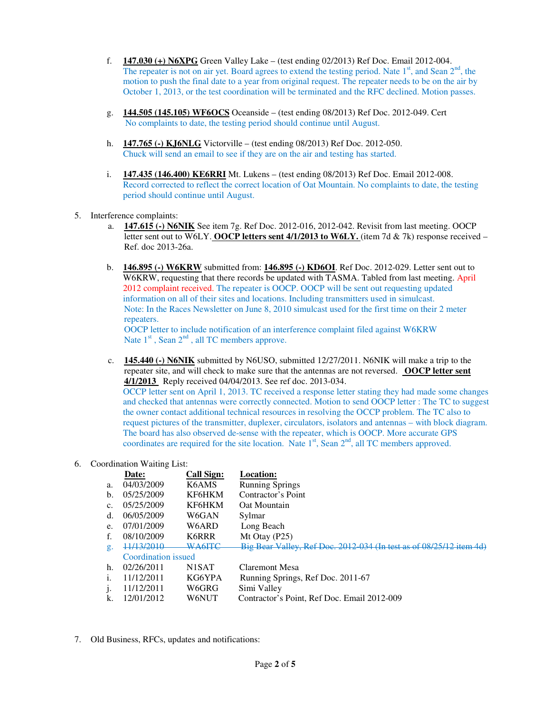- f. **147.030 (+) N6XPG** Green Valley Lake (test ending 02/2013) Ref Doc. Email 2012-004. The repeater is not on air yet. Board agrees to extend the testing period. Nate  $1<sup>st</sup>$ , and Sean  $2<sup>nd</sup>$ , the motion to push the final date to a year from original request. The repeater needs to be on the air by October 1, 2013, or the test coordination will be terminated and the RFC declined. Motion passes.
- g. **144.505 (145.105) WF6OCS** Oceanside (test ending 08/2013) Ref Doc. 2012-049. Cert No complaints to date, the testing period should continue until August.
- h. **147.765 (-) KJ6NLG** Victorville (test ending 08/2013) Ref Doc. 2012-050. Chuck will send an email to see if they are on the air and testing has started.
- i. **147.435 (146.400) KE6RRI** Mt. Lukens (test ending 08/2013) Ref Doc. Email 2012-008. Record corrected to reflect the correct location of Oat Mountain. No complaints to date, the testing period should continue until August.
- 5. Interference complaints:
	- a. **147.615 (-) N6NIK** See item 7g. Ref Doc. 2012-016, 2012-042. Revisit from last meeting. OOCP letter sent out to W6LY. **OOCP letters sent 4/1/2013 to W6LY.** (item 7d & 7k) response received – Ref. doc 2013-26a.
	- b. **146.895 (-) W6KRW** submitted from: **146.895 (-) KD6OI**. Ref Doc. 2012-029. Letter sent out to W6KRW, requesting that there records be updated with TASMA. Tabled from last meeting. April 2012 complaint received. The repeater is OOCP. OOCP will be sent out requesting updated information on all of their sites and locations. Including transmitters used in simulcast. Note: In the Races Newsletter on June 8, 2010 simulcast used for the first time on their 2 meter repeaters.

OOCP letter to include notification of an interference complaint filed against W6KRW Nate  $1<sup>st</sup>$ , Sean  $2<sup>nd</sup>$ , all TC members approve.

c. **145.440 (-) N6NIK** submitted by N6USO, submitted 12/27/2011. N6NIK will make a trip to the repeater site, and will check to make sure that the antennas are not reversed. **OOCP letter sent 4/1/2013** Reply received 04/04/2013. See ref doc. 2013-034.

OCCP letter sent on April 1, 2013. TC received a response letter stating they had made some changes and checked that antennas were correctly connected. Motion to send OOCP letter : The TC to suggest the owner contact additional technical resources in resolving the OCCP problem. The TC also to request pictures of the transmitter, duplexer, circulators, isolators and antennas – with block diagram. The board has also observed de-sense with the repeater, which is OOCP. More accurate GPS coordinates are required for the site location. Nate  $1<sup>st</sup>$ , Sean  $2<sup>nd</sup>$ , all TC members approved.

# 6. Coordination Waiting List:

|  |                | Date:                 | <b>Call Sign:</b>  | <b>Location:</b>                                                    |
|--|----------------|-----------------------|--------------------|---------------------------------------------------------------------|
|  | a.             | 04/03/2009            | K6AMS              | <b>Running Springs</b>                                              |
|  | b.             | 05/25/2009            | KF6HKM             | Contractor's Point                                                  |
|  | c.             | 05/25/2009            | KF6HKM             | Oat Mountain                                                        |
|  | d.             | 06/05/2009            | W6GAN              | Sylmar                                                              |
|  | e.             | 07/01/2009            | W6ARD              | Long Beach                                                          |
|  | f.             | 08/10/2009            | K6RRR              | Mt Otay $(P25)$                                                     |
|  | g.             | <del>11/13/2010</del> | <b>WA6ITC</b>      | Big Bear Valley, Ref Doc. 2012 034 (In test as of 08/25/12 item 4d) |
|  |                | Coordination issued   |                    |                                                                     |
|  | h.             | 02/26/2011            | N <sub>1</sub> SAT | <b>Claremont Mesa</b>                                               |
|  | $\mathbf{1}$ . | 11/12/2011            | KG6YPA             | Running Springs, Ref Doc. 2011-67                                   |
|  |                | 11/12/2011            | W6GRG              | Simi Valley                                                         |
|  | k.             | 12/01/2012            | W6NUT              | Contractor's Point, Ref Doc. Email 2012-009                         |
|  |                |                       |                    |                                                                     |

7. Old Business, RFCs, updates and notifications: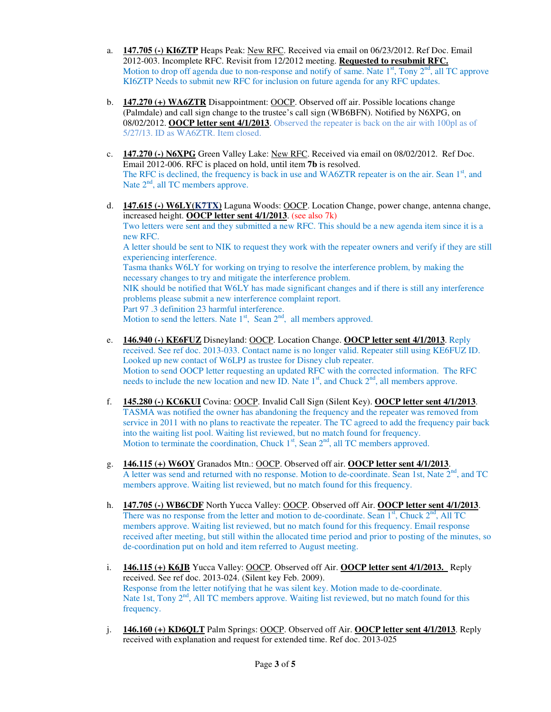- a. **147.705 (-) KI6ZTP** Heaps Peak: New RFC. Received via email on 06/23/2012. Ref Doc. Email 2012-003. Incomplete RFC. Revisit from 12/2012 meeting. **Requested to resubmit RFC.** Motion to drop off agenda due to non-response and notify of same. Nate  $1<sup>st</sup>$ , Tony  $2<sup>nd</sup>$ , all TC approve KI6ZTP Needs to submit new RFC for inclusion on future agenda for any RFC updates.
- b. **147.270 (+) WA6ZTR** Disappointment: OOCP. Observed off air. Possible locations change (Palmdale) and call sign change to the trustee's call sign (WB6BFN). Notified by N6XPG, on 08/02/2012. **OOCP letter sent 4/1/2013**. Observed the repeater is back on the air with 100pl as of 5/27/13. ID as WA6ZTR. Item closed.
- c. **147.270 (-) N6XPG** Green Valley Lake: New RFC. Received via email on 08/02/2012. Ref Doc. Email 2012-006. RFC is placed on hold, until item **7b** is resolved. The RFC is declined, the frequency is back in use and WA6ZTR repeater is on the air. Sean  $1<sup>st</sup>$ , and Nate  $2<sup>nd</sup>$ , all TC members approve.
- d. **147.615 (-) W6LY(K7TX)** Laguna Woods: OOCP. Location Change, power change, antenna change, increased height. **OOCP letter sent 4/1/2013**. (see also 7k) Two letters were sent and they submitted a new RFC. This should be a new agenda item since it is a new RFC. A letter should be sent to NIK to request they work with the repeater owners and verify if they are still experiencing interference. Tasma thanks W6LY for working on trying to resolve the interference problem, by making the necessary changes to try and mitigate the interference problem. NIK should be notified that W6LY has made significant changes and if there is still any interference problems please submit a new interference complaint report. Part 97 .3 definition 23 harmful interference.

Motion to send the letters. Nate  $1<sup>st</sup>$ , Sean  $2<sup>nd</sup>$ , all members approved.

- e. **146.940 (-) KE6FUZ** Disneyland: OOCP. Location Change. **OOCP letter sent 4/1/2013**. Reply received. See ref doc. 2013-033. Contact name is no longer valid. Repeater still using KE6FUZ ID. Looked up new contact of W6LPJ as trustee for Disney club repeater. Motion to send OOCP letter requesting an updated RFC with the corrected information. The RFC needs to include the new location and new ID. Nate  $1<sup>st</sup>$ , and Chuck  $2<sup>nd</sup>$ , all members approve.
- f. **145.280 (-) KC6KUI** Covina: OOCP. Invalid Call Sign (Silent Key). **OOCP letter sent 4/1/2013**. TASMA was notified the owner has abandoning the frequency and the repeater was removed from service in 2011 with no plans to reactivate the repeater. The TC agreed to add the frequency pair back into the waiting list pool. Waiting list reviewed, but no match found for frequency. Motion to terminate the coordination, Chuck  $1<sup>st</sup>$ , Sean  $2<sup>nd</sup>$ , all TC members approved.
- g. **146.115 (+) W6OY** Granados Mtn.: OOCP. Observed off air. **OOCP letter sent 4/1/2013**. A letter was send and returned with no response. Motion to de-coordinate. Sean 1st, Nate  $2<sup>nd</sup>$ , and TC members approve. Waiting list reviewed, but no match found for this frequency.
- h. **147.705 (-) WB6CDF** North Yucca Valley: OOCP. Observed off Air. **OOCP letter sent 4/1/2013**. There was no response from the letter and motion to de-coordinate. Sean  $1<sup>st</sup>$ , Chuck  $2<sup>nd</sup>$ , All TC members approve. Waiting list reviewed, but no match found for this frequency. Email response received after meeting, but still within the allocated time period and prior to posting of the minutes, so de-coordination put on hold and item referred to August meeting.
- i. **146.115 (+) K6JB** Yucca Valley: OOCP. Observed off Air. **OOCP letter sent 4/1/2013.** Reply received. See ref doc. 2013-024. (Silent key Feb. 2009). Response from the letter notifying that he was silent key. Motion made to de-coordinate. Nate 1st, Tony  $2<sup>nd</sup>$ , All TC members approve. Waiting list reviewed, but no match found for this frequency.
- j. **146.160 (+) KD6QLT** Palm Springs: OOCP. Observed off Air. **OOCP letter sent 4/1/2013**. Reply received with explanation and request for extended time. Ref doc. 2013-025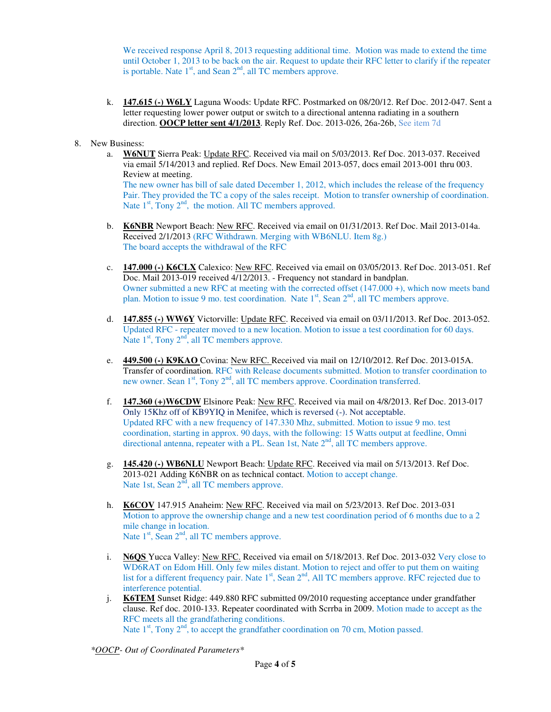We received response April 8, 2013 requesting additional time. Motion was made to extend the time until October 1, 2013 to be back on the air. Request to update their RFC letter to clarify if the repeater is portable. Nate  $1<sup>st</sup>$ , and Sean  $2<sup>nd</sup>$ , all TC members approve.

- k. **147.615 (-) W6LY** Laguna Woods: Update RFC. Postmarked on 08/20/12. Ref Doc. 2012-047. Sent a letter requesting lower power output or switch to a directional antenna radiating in a southern direction. **OOCP letter sent 4/1/2013**. Reply Ref. Doc. 2013-026, 26a-26b, See item 7d
- 8. New Business:
	- a. **W6NUT** Sierra Peak: Update RFC. Received via mail on 5/03/2013. Ref Doc. 2013-037. Received via email 5/14/2013 and replied. Ref Docs. New Email 2013-057, docs email 2013-001 thru 003. Review at meeting. The new owner has bill of sale dated December 1, 2012, which includes the release of the frequency Pair. They provided the TC a copy of the sales receipt. Motion to transfer ownership of coordination.
		- Nate  $1<sup>st</sup>$ , Tony  $2<sup>nd</sup>$ , the motion. All TC members approved.
	- b. **K6NBR** Newport Beach: New RFC. Received via email on 01/31/2013. Ref Doc. Mail 2013-014a. Received 2/1/2013 (RFC Withdrawn. Merging with WB6NLU. Item 8g.) The board accepts the withdrawal of the RFC
	- c. **147.000 (-) K6CLX** Calexico: New RFC. Received via email on 03/05/2013. Ref Doc. 2013-051. Ref Doc. Mail 2013-019 received 4/12/2013. - Frequency not standard in bandplan. Owner submitted a new RFC at meeting with the corrected offset (147.000 +), which now meets band plan. Motion to issue 9 mo. test coordination. Nate  $1<sup>st</sup>$ , Sean  $2<sup>nd</sup>$ , all TC members approve.
	- d. **147.855 (-) WW6Y** Victorville: Update RFC. Received via email on 03/11/2013. Ref Doc. 2013-052. Updated RFC - repeater moved to a new location. Motion to issue a test coordination for 60 days. Nate  $1<sup>st</sup>$ , Tony  $2<sup>nd</sup>$ , all TC members approve.
	- e. **449.500 (-) K9KAO** Covina: New RFC. Received via mail on 12/10/2012. Ref Doc. 2013-015A. Transfer of coordination. RFC with Release documents submitted. Motion to transfer coordination to new owner. Sean  $1<sup>st</sup>$ , Tony  $2<sup>nd</sup>$ , all TC members approve. Coordination transferred.
	- f. **147.360 (+)W6CDW** Elsinore Peak: New RFC. Received via mail on 4/8/2013. Ref Doc. 2013-017 Only 15Khz off of KB9YIQ in Menifee, which is reversed (-). Not acceptable. Updated RFC with a new frequency of 147.330 Mhz, submitted. Motion to issue 9 mo. test coordination, starting in approx. 90 days, with the following: 15 Watts output at feedline, Omni directional antenna, repeater with a PL. Sean 1st, Nate  $2<sup>nd</sup>$ , all TC members approve.
	- g. **145.420 (-) WB6NLU** Newport Beach: Update RFC. Received via mail on 5/13/2013. Ref Doc. 2013-021 Adding K6NBR on as technical contact. Motion to accept change. Nate 1st, Sean 2<sup>nd</sup>, all TC members approve.
	- h. **K6COV** 147.915 Anaheim: New RFC. Received via mail on 5/23/2013. Ref Doc. 2013-031 Motion to approve the ownership change and a new test coordination period of 6 months due to a 2 mile change in location. Nate  $1<sup>st</sup>$ , Sean  $2<sup>nd</sup>$ , all TC members approve.
	- i. **N6QS** Yucca Valley: New RFC. Received via email on 5/18/2013. Ref Doc. 2013-032 Very close to WD6RAT on Edom Hill. Only few miles distant. Motion to reject and offer to put them on waiting list for a different frequency pair. Nate  $1<sup>st</sup>$ , Sean  $2<sup>nd</sup>$ , All TC members approve. RFC rejected due to interference potential.
	- j. **K6TEM** Sunset Ridge: 449.880 RFC submitted 09/2010 requesting acceptance under grandfather clause. Ref doc. 2010-133. Repeater coordinated with Scrrba in 2009. Motion made to accept as the RFC meets all the grandfathering conditions. Nate  $1<sup>st</sup>$ , Tony  $2<sup>nd</sup>$ , to accept the grandfather coordination on 70 cm, Motion passed.

*\*OOCP- Out of Coordinated Parameters\**